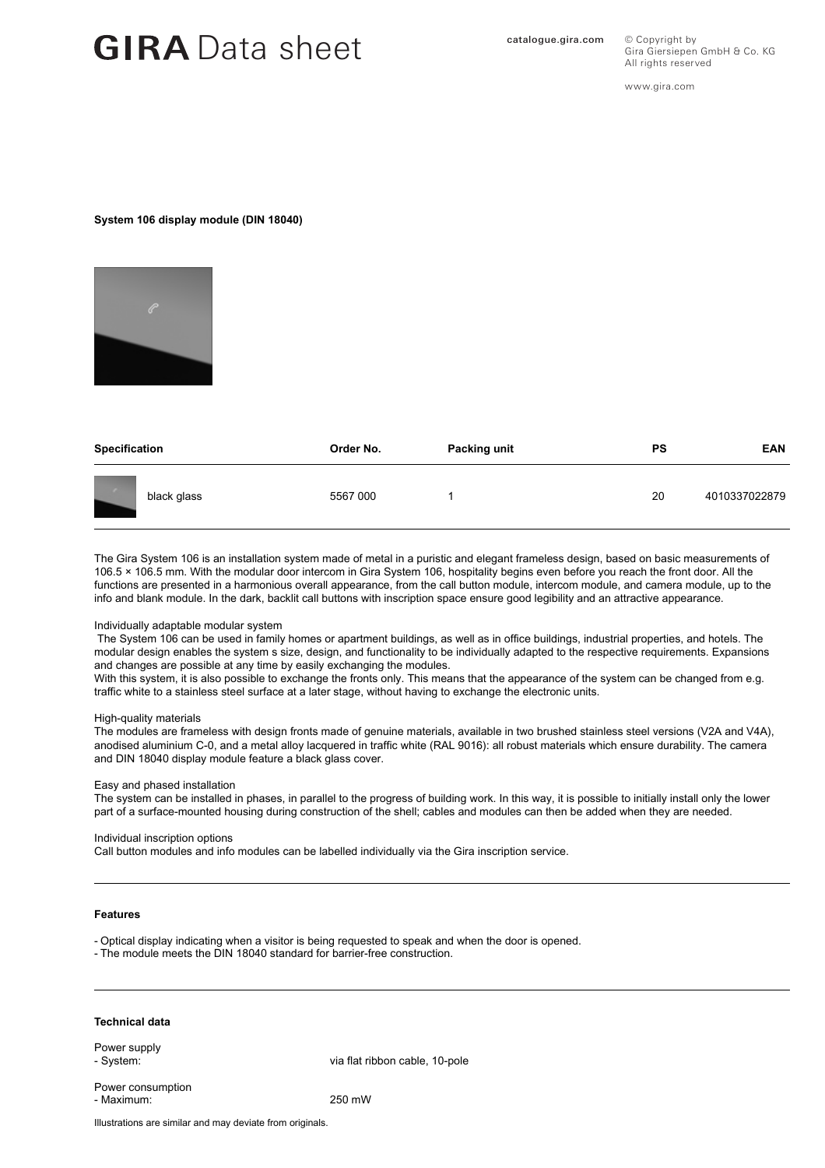## GIRA Data sheet **Catalogue.gira.com**

© Copyright by Gira Giersiepen GmbH & Co. KG All rights reserved

www.gira.com

### **System 106 display module (DIN 18040)**



| Specification | Order No. | Packing unit | PS | <b>EAN</b>    |
|---------------|-----------|--------------|----|---------------|
| black glass   | 5567 000  |              | 20 | 4010337022879 |

The Gira System 106 is an installation system made of metal in a puristic and elegant frameless design, based on basic measurements of 106.5 × 106.5 mm. With the modular door intercom in Gira System 106, hospitality begins even before you reach the front door. All the functions are presented in a harmonious overall appearance, from the call button module, intercom module, and camera module, up to the info and blank module. In the dark, backlit call buttons with inscription space ensure good legibility and an attractive appearance.

#### Individually adaptable modular system

 The System 106 can be used in family homes or apartment buildings, as well as in office buildings, industrial properties, and hotels. The modular design enables the system s size, design, and functionality to be individually adapted to the respective requirements. Expansions and changes are possible at any time by easily exchanging the modules.

With this system, it is also possible to exchange the fronts only. This means that the appearance of the system can be changed from e.g. traffic white to a stainless steel surface at a later stage, without having to exchange the electronic units.

#### High-quality materials

The modules are frameless with design fronts made of genuine materials, available in two brushed stainless steel versions (V2A and V4A), anodised aluminium C-0, and a metal alloy lacquered in traffic white (RAL 9016): all robust materials which ensure durability. The camera and DIN 18040 display module feature a black glass cover.

#### Easy and phased installation

The system can be installed in phases, in parallel to the progress of building work. In this way, it is possible to initially install only the lower part of a surface-mounted housing during construction of the shell; cables and modules can then be added when they are needed.

#### Individual inscription options

Call button modules and info modules can be labelled individually via the Gira inscription service.

#### **Features**

- Optical display indicating when a visitor is being requested to speak and when the door is opened.

- The module meets the DIN 18040 standard for barrier-free construction.

#### **Technical data**

Power supply

- System: via flat ribbon cable, 10-pole

Power consumption - Maximum: 250 mW

Illustrations are similar and may deviate from originals.